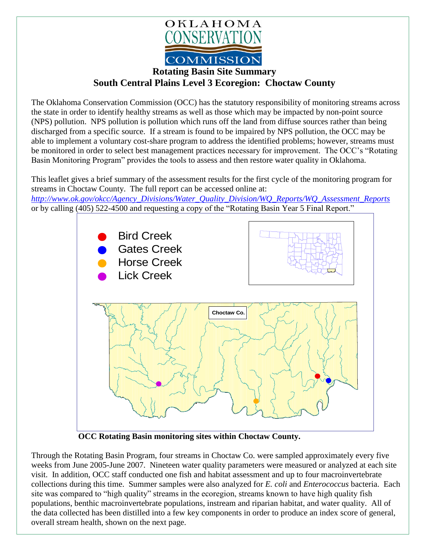

## **Rotating Basin Site Summary South Central Plains Level 3 Ecoregion: Choctaw County**

The Oklahoma Conservation Commission (OCC) has the statutory responsibility of monitoring streams across the state in order to identify healthy streams as well as those which may be impacted by non-point source (NPS) pollution. NPS pollution is pollution which runs off the land from diffuse sources rather than being discharged from a specific source. If a stream is found to be impaired by NPS pollution, the OCC may be able to implement a voluntary cost-share program to address the identified problems; however, streams must be monitored in order to select best management practices necessary for improvement. The OCC's "Rotating Basin Monitoring Program" provides the tools to assess and then restore water quality in Oklahoma.

This leaflet gives a brief summary of the assessment results for the first cycle of the monitoring program for streams in Choctaw County. The full report can be accessed online at:

*[http://www.ok.gov/okcc/Agency\\_Divisions/Water\\_Quality\\_Division/WQ\\_Reports/WQ\\_Assessment\\_Reports](http://www.ok.gov/okcc/Agency_Divisions/Water_Quality_Division/WQ_Reports/WQ_Assessment_Reports)* or by calling (405) 522-4500 and requesting a copy of the "Rotating Basin Year 5 Final Report."



**OCC Rotating Basin monitoring sites within Choctaw County.**

Through the Rotating Basin Program, four streams in Choctaw Co. were sampled approximately every five weeks from June 2005-June 2007. Nineteen water quality parameters were measured or analyzed at each site visit. In addition, OCC staff conducted one fish and habitat assessment and up to four macroinvertebrate collections during this time. Summer samples were also analyzed for *E. coli* and *Enterococcus* bacteria. Each site was compared to "high quality" streams in the ecoregion, streams known to have high quality fish populations, benthic macroinvertebrate populations, instream and riparian habitat, and water quality. All of the data collected has been distilled into a few key components in order to produce an index score of general, overall stream health, shown on the next page.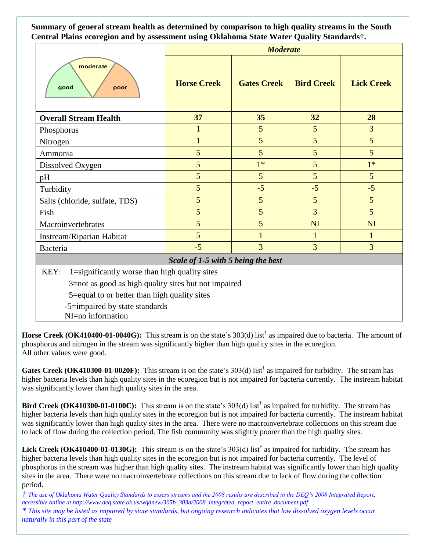**Summary of general stream health as determined by comparison to high quality streams in the South Central Plains ecoregion and by assessment using Oklahoma State Water Quality Standards†.**

|                                                       | <b>Moderate</b>                    |                    |                   |                   |
|-------------------------------------------------------|------------------------------------|--------------------|-------------------|-------------------|
| moderate<br>good<br>poor                              | <b>Horse Creek</b>                 | <b>Gates Creek</b> | <b>Bird Creek</b> | <b>Lick Creek</b> |
| <b>Overall Stream Health</b>                          | 37                                 | 35                 | 32                | 28                |
| Phosphorus                                            | 1                                  | $5\overline{)}$    | 5                 | 3                 |
| Nitrogen                                              | $\mathbf{1}$                       | 5                  | 5                 | 5                 |
| Ammonia                                               | 5                                  | 5                  | 5                 | 5                 |
| Dissolved Oxygen                                      | 5                                  | $1*$               | $\overline{5}$    | $1*$              |
| pH                                                    | 5                                  | 5                  | 5                 | 5                 |
| Turbidity                                             | 5                                  | $-5$               | $-5$              | $-5$              |
| Salts (chloride, sulfate, TDS)                        | 5                                  | 5                  | 5                 | 5                 |
| Fish                                                  | 5                                  | 5                  | 3                 | 5                 |
| Macroinvertebrates                                    | 5                                  | 5                  | <b>NI</b>         | NI                |
| Instream/Riparian Habitat                             | 5                                  | $\mathbf{1}$       | $\mathbf{1}$      | $\mathbf{1}$      |
| Bacteria                                              | $-5$                               | 3                  | 3                 | 3                 |
|                                                       | Scale of 1-5 with 5 being the best |                    |                   |                   |
| 1=significantly worse than high quality sites<br>KEY: |                                    |                    |                   |                   |
| 3=not as good as high quality sites but not impaired  |                                    |                    |                   |                   |
| 5=equal to or better than high quality sites          |                                    |                    |                   |                   |
| -5=impaired by state standards<br>NI=no information   |                                    |                    |                   |                   |

**Horse Creek (OK410400-01-0040G):** This stream is on the state's 303(d) list† as impaired due to bacteria. The amount of phosphorus and nitrogen in the stream was significantly higher than high quality sites in the ecoregion. All other values were good.

Gates Creek (OK410300-01-0020F): This stream is on the state's 303(d) list<sup>†</sup> as impaired for turbidity. The stream has higher bacteria levels than high quality sites in the ecoregion but is not impaired for bacteria currently. The instream habitat was significantly lower than high quality sites in the area.

Bird Creek (OK410300-01-0100C): This stream is on the state's 303(d) list<sup>†</sup> as impaired for turbidity. The stream has higher bacteria levels than high quality sites in the ecoregion but is not impaired for bacteria currently. The instream habitat was significantly lower than high quality sites in the area. There were no macroinvertebrate collections on this stream due to lack of flow during the collection period. The fish community was slightly poorer than the high quality sites.

Lick Creek (OK410400-01-0130G): This stream is on the state's 303(d) list<sup>†</sup> as impaired for turbidity. The stream has higher bacteria levels than high quality sites in the ecoregion but is not impaired for bacteria currently. The level of phosphorus in the stream was higher than high quality sites. The instream habitat was significantly lower than high quality sites in the area. There were no macroinvertebrate collections on this stream due to lack of flow during the collection period.

*† The use of Oklahoma Water Quality Standards to assess streams and the 2008 results are described in the DEQ's 2008 Integrated Report, accessible online at http://www.deq.state.ok.us/wqdnew/305b\_303d/2008\_integrated\_report\_entire\_document.pdf \* This site may be listed as impaired by state standards, but ongoing research indicates that low dissolved oxygen levels occur naturally in this part of the state*